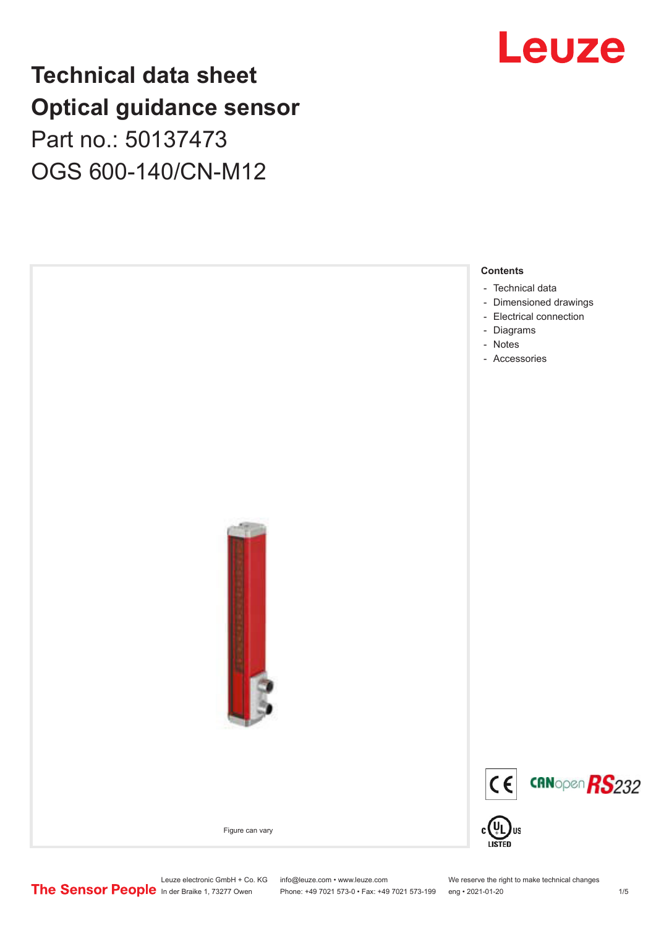## **Technical data sheet Optical guidance sensor** Part no.: 50137473 OGS 600-140/CN-M12



Leuze electronic GmbH + Co. KG info@leuze.com • www.leuze.com We reserve the right to make technical changes<br>
The Sensor People in der Braike 1, 73277 Owen Phone: +49 7021 573-0 • Fax: +49 7021 573-199 eng • 2021-01-20

Phone: +49 7021 573-0 • Fax: +49 7021 573-199 eng • 2021-01-20 1 20

Leuze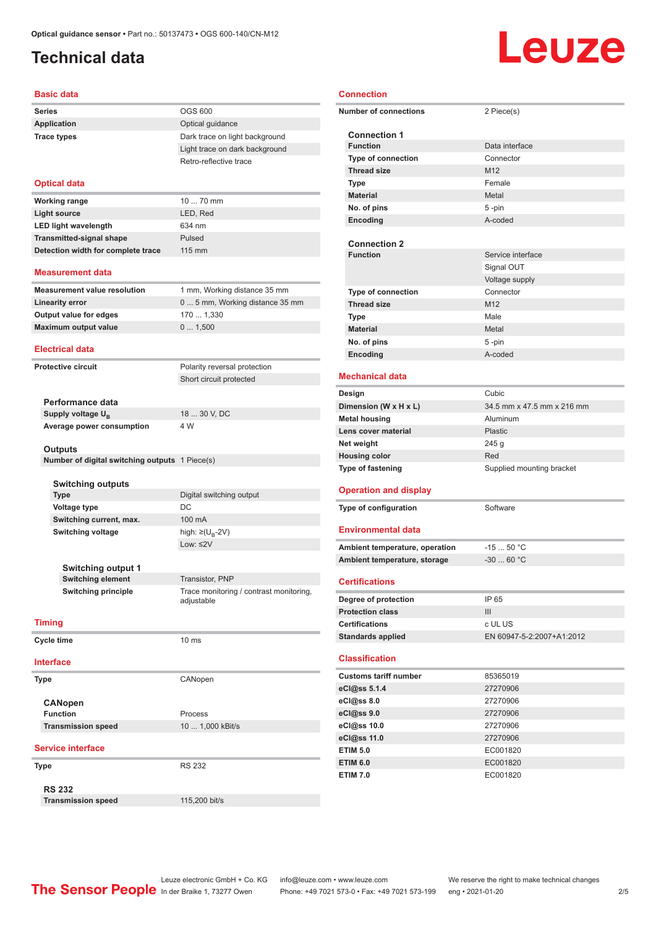### <span id="page-1-0"></span>**Technical data**

# **Leuze**

#### **Basic data**

| <b>Series</b>                                  | <b>OGS 600</b>                         |
|------------------------------------------------|----------------------------------------|
| <b>Application</b>                             | Optical guidance                       |
| <b>Trace types</b>                             | Dark trace on light background         |
|                                                | Light trace on dark background         |
|                                                | Retro-reflective trace                 |
|                                                |                                        |
| <b>Optical data</b>                            |                                        |
| <b>Working range</b>                           | 10  70 mm                              |
| <b>Light source</b>                            | LED, Red                               |
| <b>LED light wavelength</b>                    | 634 nm                                 |
| <b>Transmitted-signal shape</b>                | Pulsed                                 |
| Detection width for complete trace             | $115 \text{ mm}$                       |
|                                                |                                        |
| <b>Measurement data</b>                        |                                        |
| <b>Measurement value resolution</b>            | 1 mm, Working distance 35 mm           |
| <b>Linearity error</b>                         | 0  5 mm, Working distance 35 mm        |
| Output value for edges                         | 170  1,330                             |
| <b>Maximum output value</b>                    | 0 1,500                                |
| <b>Electrical data</b>                         |                                        |
| <b>Protective circuit</b>                      | Polarity reversal protection           |
|                                                | Short circuit protected                |
|                                                |                                        |
| Performance data                               |                                        |
| Supply voltage U <sub>R</sub>                  | 18  30 V, DC                           |
| Average power consumption                      | 4 W                                    |
|                                                |                                        |
| <b>Outputs</b>                                 |                                        |
| Number of digital switching outputs 1 Piece(s) |                                        |
|                                                |                                        |
| <b>Switching outputs</b><br><b>Type</b>        | Digital switching output               |
| <b>Voltage type</b>                            | DC                                     |
| Switching current, max.                        | 100 mA                                 |
| <b>Switching voltage</b>                       | high: ≥( $U_B$ -2V)                    |
|                                                | Low: $\leq 2V$                         |
|                                                |                                        |
| <b>Switching output 1</b>                      |                                        |
| <b>Switching element</b>                       | Transistor, PNP                        |
| <b>Switching principle</b>                     | Trace monitoring / contrast monitoring |
|                                                | adjustable                             |
| <b>Timing</b>                                  |                                        |
| <b>Cycle time</b>                              | 10 <sub>ms</sub>                       |
|                                                |                                        |
| <b>Interface</b>                               |                                        |
| <b>Type</b>                                    | CANopen                                |
|                                                |                                        |
| <b>CANopen</b>                                 |                                        |
| <b>Function</b>                                | Process                                |
| <b>Transmission speed</b>                      | 10  1,000 kBit/s                       |
| <b>Service interface</b>                       |                                        |
|                                                | <b>RS 232</b>                          |
| <b>Type</b>                                    |                                        |
| <b>RS 232</b>                                  |                                        |
| <b>Transmission speed</b>                      | 115,200 bit/s                          |

| <b>Connection</b> |                                            |                            |  |  |  |
|-------------------|--------------------------------------------|----------------------------|--|--|--|
|                   | <b>Number of connections</b><br>2 Piece(s) |                            |  |  |  |
|                   | <b>Connection 1</b>                        |                            |  |  |  |
|                   | <b>Function</b>                            | Data interface             |  |  |  |
|                   | Type of connection                         | Connector                  |  |  |  |
|                   | <b>Thread size</b>                         | M <sub>12</sub>            |  |  |  |
|                   | <b>Type</b>                                | Female                     |  |  |  |
|                   | <b>Material</b>                            | Metal                      |  |  |  |
|                   | No. of pins                                | 5 -pin                     |  |  |  |
|                   | Encoding                                   | A-coded                    |  |  |  |
|                   |                                            |                            |  |  |  |
|                   | <b>Connection 2</b>                        |                            |  |  |  |
|                   | <b>Function</b>                            | Service interface          |  |  |  |
|                   |                                            | Signal OUT                 |  |  |  |
|                   |                                            | Voltage supply             |  |  |  |
|                   | <b>Type of connection</b>                  | Connector                  |  |  |  |
|                   | <b>Thread size</b>                         | M <sub>12</sub>            |  |  |  |
|                   | Type                                       | Male                       |  |  |  |
|                   | <b>Material</b>                            | Metal                      |  |  |  |
|                   | No. of pins                                | 5-pin                      |  |  |  |
|                   | Encoding                                   | A-coded                    |  |  |  |
|                   | <b>Mechanical data</b>                     |                            |  |  |  |
|                   | Design                                     | Cubic                      |  |  |  |
|                   | Dimension (W x H x L)                      | 34.5 mm x 47.5 mm x 216 mm |  |  |  |
|                   | <b>Metal housing</b>                       | Aluminum                   |  |  |  |
|                   | Lens cover material                        | Plastic                    |  |  |  |
|                   | Net weight                                 | 245g                       |  |  |  |
|                   | <b>Housing color</b>                       | Red                        |  |  |  |
| Type of fastening |                                            | Supplied mounting bracket  |  |  |  |
|                   | <b>Operation and display</b>               |                            |  |  |  |
|                   | Type of configuration                      | Software                   |  |  |  |
|                   | <b>Environmental data</b>                  |                            |  |  |  |
|                   | Ambient temperature, operation             | $-1550 °C$                 |  |  |  |
|                   | Ambient temperature, storage               | $-30$ 60 °C                |  |  |  |
|                   | <b>Certifications</b>                      |                            |  |  |  |
|                   | Degree of protection                       | IP 65                      |  |  |  |
|                   | <b>Protection class</b>                    | III                        |  |  |  |
|                   | <b>Certifications</b>                      | c UL US                    |  |  |  |
|                   | <b>Standards applied</b>                   | EN 60947-5-2:2007+A1:2012  |  |  |  |
|                   | <b>Classification</b>                      |                            |  |  |  |
|                   | <b>Customs tariff number</b>               | 85365019                   |  |  |  |
|                   | eCl@ss 5.1.4                               | 27270906                   |  |  |  |
|                   |                                            | 27270906                   |  |  |  |
|                   | eCl@ss 8.0                                 |                            |  |  |  |
|                   | eCl@ss 9.0                                 | 27270906                   |  |  |  |
|                   | eCl@ss 10.0                                | 27270906                   |  |  |  |
|                   | eCl@ss 11.0                                | 27270906                   |  |  |  |
|                   | <b>ETIM 5.0</b>                            | EC001820                   |  |  |  |
|                   | <b>ETIM 6.0</b>                            | EC001820                   |  |  |  |
|                   | <b>ETIM 7.0</b>                            | EC001820                   |  |  |  |

Leuze electronic GmbH + Co. KG info@leuze.com • www.leuze.com We reserve the right to make technical changes ln der Braike 1, 73277 Owen Phone: +49 7021 573-0 • Fax: +49 7021 573-199 eng • 2021-01-20 215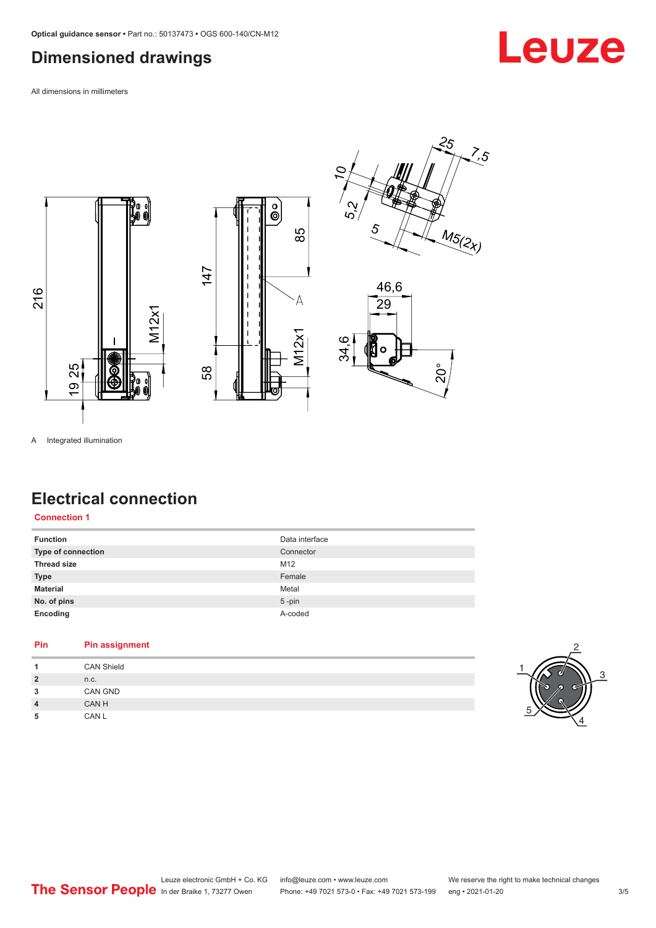### <span id="page-2-0"></span>**Dimensioned drawings**

All dimensions in millimeters







A Integrated illumination

### **Electrical connection**

**Connection 1**

| <b>Function</b>           | Data interface |
|---------------------------|----------------|
| <b>Type of connection</b> | Connector      |
| <b>Thread size</b>        | M12            |
| <b>Type</b>               | Female         |
| <b>Material</b>           | Metal          |
| No. of pins               | $5 - pin$      |
| Encoding                  | A-coded        |

| Pin                     | <b>Pin assignment</b> |
|-------------------------|-----------------------|
|                         | <b>CAN Shield</b>     |
| $\overline{2}$          | n.c.                  |
| 3                       | CAN GND               |
| $\overline{\mathbf{4}}$ | CAN H                 |
| 5                       | CAN L                 |



Leuze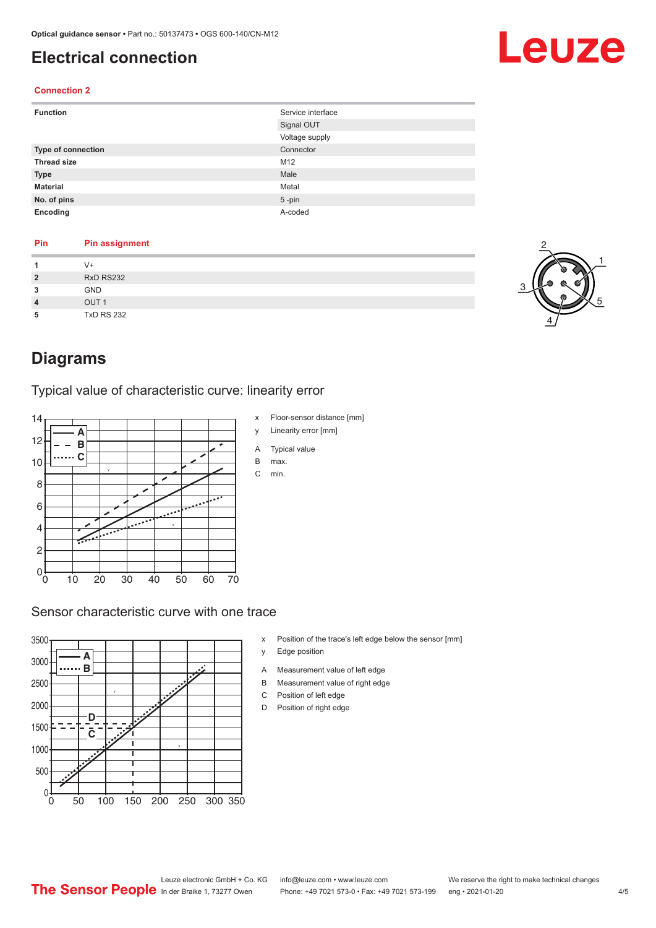### <span id="page-3-0"></span>**Electrical connection**

#### **Connection 2**

| <b>Function</b>    | Service interface |
|--------------------|-------------------|
|                    | Signal OUT        |
|                    | Voltage supply    |
| Type of connection | Connector         |
| <b>Thread size</b> | M12               |
| <b>Type</b>        | Male              |
| <b>Material</b>    | Metal             |
| No. of pins        | $5$ -pin          |
| Encoding           | A-coded           |

#### **Pin Pin assignment 1** V+ **2** RxD RS232

| $\overline{2}$ | RxD RS232         |
|----------------|-------------------|
| 3              | <b>GND</b>        |
| $\overline{4}$ | OUT <sub>1</sub>  |
| 5              | <b>TxD RS 232</b> |



### **Diagrams**

#### Typical value of characteristic curve: linearity error



#### Sensor characteristic curve with one trace



- x Position of the trace's left edge below the sensor [mm]
- y Edge position
- A Measurement value of left edge
- B Measurement value of right edge
- C Position of left edge
- D Position of right edge